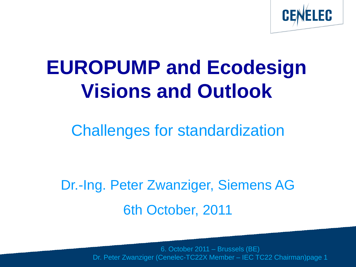

# **EUROPUMP and Ecodesign Visions and Outlook**

### Challenges for standardization

Dr.-Ing. Peter Zwanziger, Siemens AG 6th October, 2011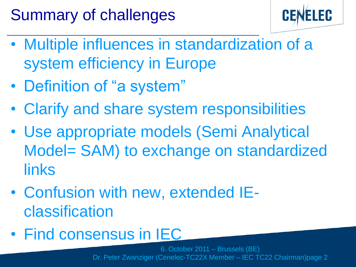## Summary of challenges



- Multiple influences in standardization of a system efficiency in Europe
- Definition of "a system"
- Clarify and share system responsibilities
- Use appropriate models (Semi Analytical Model= SAM) to exchange on standardized links
- Confusion with new, extended IEclassification
- Find consensus in IEC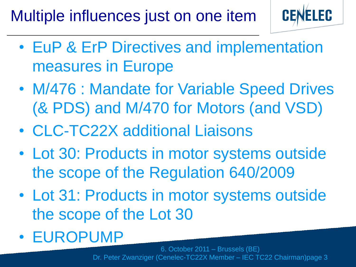Multiple influences just on one item



- EuP & ErP Directives and implementation measures in Europe
- M/476 : Mandate for Variable Speed Drives (& PDS) and M/470 for Motors (and VSD)
- CLC-TC22X additional Liaisons
- Lot 30: Products in motor systems outside the scope of the Regulation 640/2009
- Lot 31: Products in motor systems outside the scope of the Lot 30
- EUROPUMP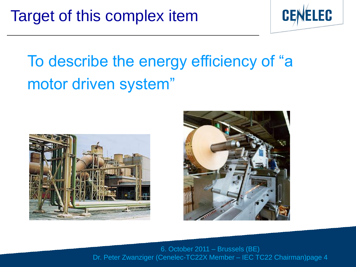

# To describe the energy efficiency of "a motor driven system"



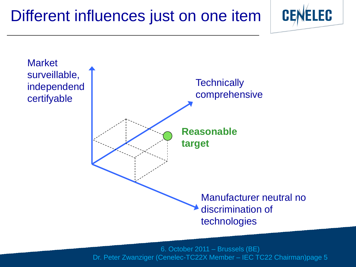### Different influences just on one item



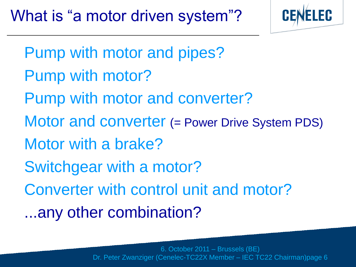

- Pump with motor and pipes?
- Pump with motor?
- Pump with motor and converter?
- Motor and converter (= Power Drive System PDS)
- Motor with a brake?
- Switchgear with a motor?
- Converter with control unit and motor?
- ...any other combination?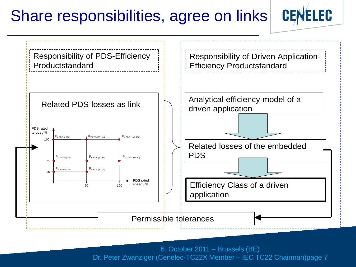#### Share responsibilities, agree on links



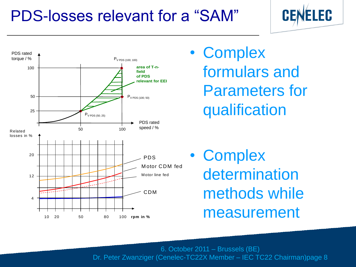### PDS-losses relevant for a "SAM"





• Complex formulars and Parameters for qualification

• Complex determination methods while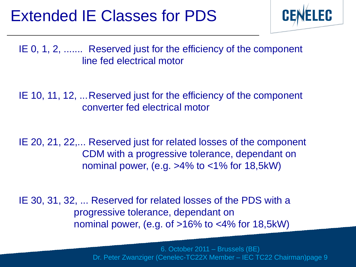#### Extended IE Classes for PDS



IE 0, 1, 2, ....... Reserved just for the efficiency of the component line fed electrical motor

IE 10, 11, 12, ... Reserved just for the efficiency of the component converter fed electrical motor

IE 20, 21, 22,... Reserved just for related losses of the component CDM with a progressive tolerance, dependant on nominal power, (e.g.  $>4\%$  to  $<1\%$  for 18,5kW)

IE 30, 31, 32, ... Reserved for related losses of the PDS with a progressive tolerance, dependant on nominal power, (e.g. of  $>16\%$  to  $<4\%$  for 18,5kW)